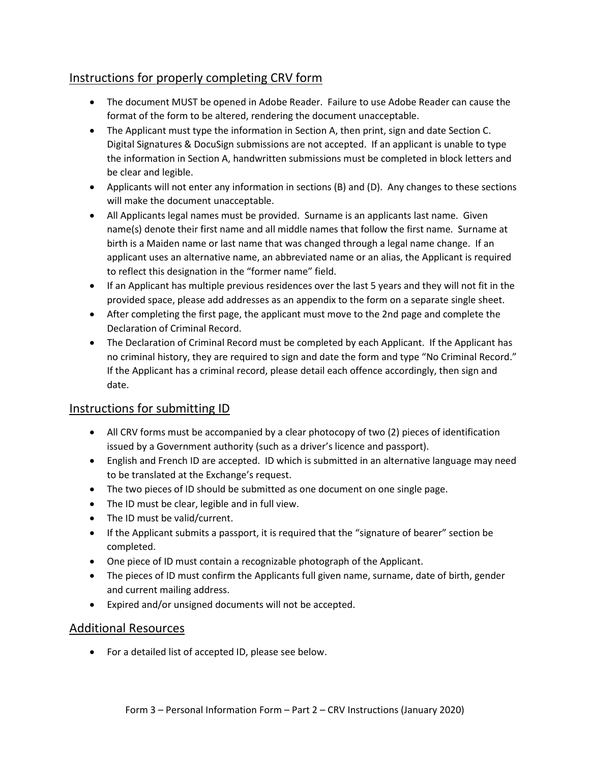# Instructions for properly completing CRV form

- The document MUST be opened in Adobe Reader. Failure to use Adobe Reader can cause the format of the form to be altered, rendering the document unacceptable.
- The Applicant must type the information in Section A, then print, sign and date Section C. Digital Signatures & DocuSign submissions are not accepted. If an applicant is unable to type the information in Section A, handwritten submissions must be completed in block letters and be clear and legible.
- Applicants will not enter any information in sections (B) and (D). Any changes to these sections will make the document unacceptable.
- All Applicants legal names must be provided. Surname is an applicants last name. Given name(s) denote their first name and all middle names that follow the first name. Surname at birth is a Maiden name or last name that was changed through a legal name change. If an applicant uses an alternative name, an abbreviated name or an alias, the Applicant is required to reflect this designation in the "former name" field.
- If an Applicant has multiple previous residences over the last 5 years and they will not fit in the provided space, please add addresses as an appendix to the form on a separate single sheet.
- After completing the first page, the applicant must move to the 2nd page and complete the Declaration of Criminal Record.
- The Declaration of Criminal Record must be completed by each Applicant. If the Applicant has no criminal history, they are required to sign and date the form and type "No Criminal Record." If the Applicant has a criminal record, please detail each offence accordingly, then sign and date.

### Instructions for submitting ID

- All CRV forms must be accompanied by a clear photocopy of two (2) pieces of identification issued by a Government authority (such as a driver's licence and passport).
- English and French ID are accepted. ID which is submitted in an alternative language may need to be translated at the Exchange's request.
- The two pieces of ID should be submitted as one document on one single page.
- The ID must be clear, legible and in full view.
- The ID must be valid/current.
- If the Applicant submits a passport, it is required that the "signature of bearer" section be completed.
- One piece of ID must contain a recognizable photograph of the Applicant.
- The pieces of ID must confirm the Applicants full given name, surname, date of birth, gender and current mailing address.
- Expired and/or unsigned documents will not be accepted.

### Additional Resources

• For a detailed list of accepted ID, please see below.